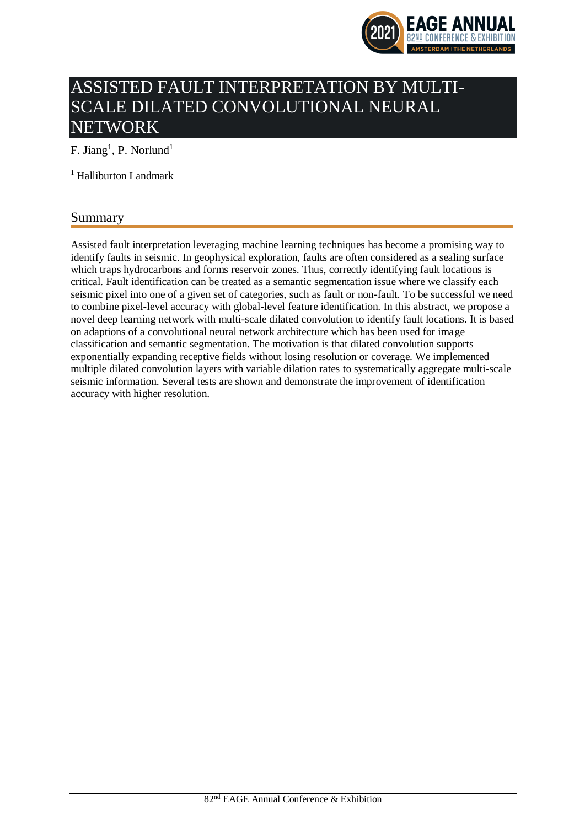

# ASSISTED FAULT INTERPRETATION BY MULTI-SCALE DILATED CONVOLUTIONAL NEURAL NETWORK

F. Jiang<sup>1</sup>, P. Norlund<sup>1</sup>

<sup>1</sup> Halliburton Landmark

# Summary

Assisted fault interpretation leveraging machine learning techniques has become a promising way to identify faults in seismic. In geophysical exploration, faults are often considered as a sealing surface which traps hydrocarbons and forms reservoir zones. Thus, correctly identifying fault locations is critical. Fault identification can be treated as a semantic segmentation issue where we classify each seismic pixel into one of a given set of categories, such as fault or non-fault. To be successful we need to combine pixel-level accuracy with global-level feature identification. In this abstract, we propose a novel deep learning network with multi-scale dilated convolution to identify fault locations. It is based on adaptions of a convolutional neural network architecture which has been used for image classification and semantic segmentation. The motivation is that dilated convolution supports exponentially expanding receptive fields without losing resolution or coverage. We implemented multiple dilated convolution layers with variable dilation rates to systematically aggregate multi-scale seismic information. Several tests are shown and demonstrate the improvement of identification accuracy with higher resolution.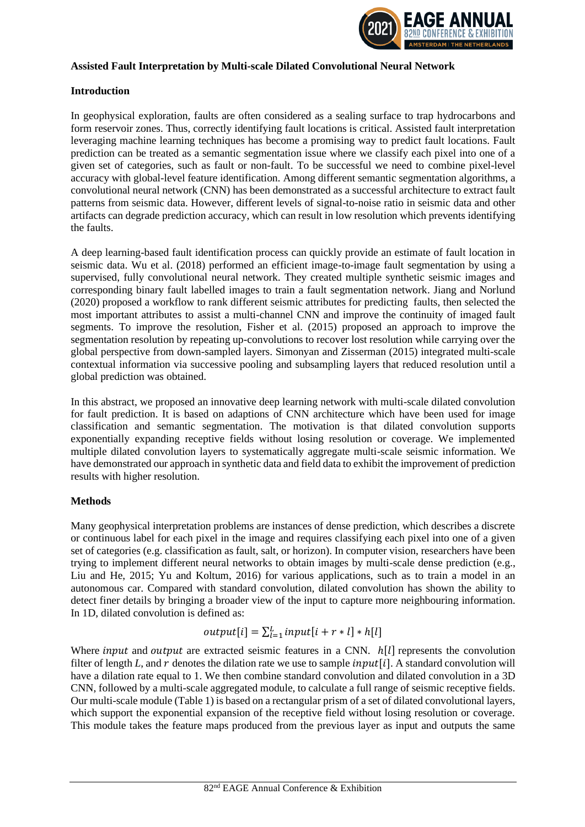

### **Assisted Fault Interpretation by Multi-scale Dilated Convolutional Neural Network**

### **Introduction**

In geophysical exploration, faults are often considered as a sealing surface to trap hydrocarbons and form reservoir zones. Thus, correctly identifying fault locations is critical. Assisted fault interpretation leveraging machine learning techniques has become a promising way to predict fault locations. Fault prediction can be treated as a semantic segmentation issue where we classify each pixel into one of a given set of categories, such as fault or non-fault. To be successful we need to combine pixel-level accuracy with global-level feature identification. Among different semantic segmentation algorithms, a convolutional neural network (CNN) has been demonstrated as a successful architecture to extract fault patterns from seismic data. However, different levels of signal-to-noise ratio in seismic data and other artifacts can degrade prediction accuracy, which can result in low resolution which prevents identifying the faults.

A deep learning-based fault identification process can quickly provide an estimate of fault location in seismic data. Wu et al. (2018) performed an efficient image-to-image fault segmentation by using a supervised, fully convolutional neural network. They created multiple synthetic seismic images and corresponding binary fault labelled images to train a fault segmentation network. Jiang and Norlund (2020) proposed a workflow to rank different seismic attributes for predicting faults, then selected the most important attributes to assist a multi-channel CNN and improve the continuity of imaged fault segments. To improve the resolution, Fisher et al. (2015) proposed an approach to improve the segmentation resolution by repeating up-convolutions to recover lost resolution while carrying over the global perspective from down-sampled layers. Simonyan and Zisserman (2015) integrated multi-scale contextual information via successive pooling and subsampling layers that reduced resolution until a global prediction was obtained.

In this abstract, we proposed an innovative deep learning network with multi-scale dilated convolution for fault prediction. It is based on adaptions of CNN architecture which have been used for image classification and semantic segmentation. The motivation is that dilated convolution supports exponentially expanding receptive fields without losing resolution or coverage. We implemented multiple dilated convolution layers to systematically aggregate multi-scale seismic information. We have demonstrated our approach in synthetic data and field data to exhibit the improvement of prediction results with higher resolution.

# **Methods**

Many geophysical interpretation problems are instances of dense prediction, which describes a discrete or continuous label for each pixel in the image and requires classifying each pixel into one of a given set of categories (e.g. classification as fault, salt, or horizon). In computer vision, researchers have been trying to implement different neural networks to obtain images by multi-scale dense prediction (e.g., Liu and He, 2015; Yu and Koltum, 2016) for various applications, such as to train a model in an autonomous car. Compared with standard convolution, dilated convolution has shown the ability to detect finer details by bringing a broader view of the input to capture more neighbouring information. In 1D, dilated convolution is defined as:

$$
output[i] = \sum_{l=1}^{L} input[i + r * l] * h[l]
$$

Where *input* and *output* are extracted seismic features in a CNN.  $h[l]$  represents the convolution filter of length L, and r denotes the dilation rate we use to sample  $input[i]$ . A standard convolution will have a dilation rate equal to 1. We then combine standard convolution and dilated convolution in a 3D CNN, followed by a multi-scale aggregated module, to calculate a full range of seismic receptive fields. Our multi-scale module (Table 1) is based on a rectangular prism of a set of dilated convolutional layers, which support the exponential expansion of the receptive field without losing resolution or coverage. This module takes the feature maps produced from the previous layer as input and outputs the same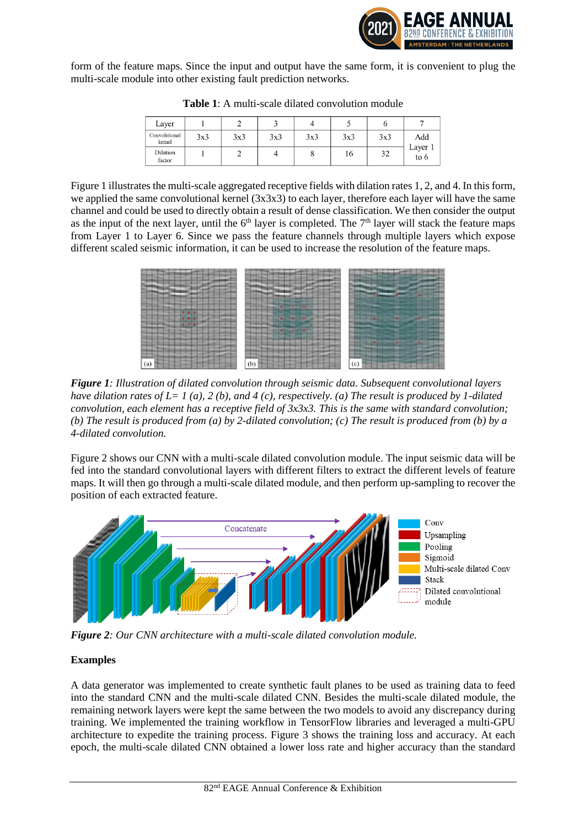

form of the feature maps. Since the input and output have the same form, it is convenient to plug the multi-scale module into other existing fault prediction networks.

| Layer                   |     |     |     |     |     | O   |                          |
|-------------------------|-----|-----|-----|-----|-----|-----|--------------------------|
| Convolutional<br>kernel | 3x3 | 3x3 | 3x3 | 3x3 | 3x3 | 3x3 | Add<br>Layer 1<br>to $6$ |
| Dilation<br>factor      |     |     |     | о   | 16  | 32  |                          |

**Table 1**: A multi-scale dilated convolution module

Figure 1 illustrates the multi-scale aggregated receptive fields with dilation rates 1, 2, and 4. In this form, we applied the same convolutional kernel (3x3x3) to each layer, therefore each layer will have the same channel and could be used to directly obtain a result of dense classification. We then consider the output as the input of the next layer, until the  $6<sup>th</sup>$  layer is completed. The  $7<sup>th</sup>$  layer will stack the feature maps from Layer 1 to Layer 6. Since we pass the feature channels through multiple layers which expose different scaled seismic information, it can be used to increase the resolution of the feature maps.



*Figure 1: Illustration of dilated convolution through seismic data. Subsequent convolutional layers have dilation rates of L= 1 (a), 2 (b), and 4 (c), respectively. (a) The result is produced by 1-dilated convolution, each element has a receptive field of 3x3x3. This is the same with standard convolution; (b) The result is produced from (a) by 2-dilated convolution; (c) The result is produced from (b) by a 4-dilated convolution.*

Figure 2 shows our CNN with a multi-scale dilated convolution module. The input seismic data will be fed into the standard convolutional layers with different filters to extract the different levels of feature maps. It will then go through a multi-scale dilated module, and then perform up-sampling to recover the position of each extracted feature.



*Figure 2: Our CNN architecture with a multi-scale dilated convolution module.*

# **Examples**

A data generator was implemented to create synthetic fault planes to be used as training data to feed into the standard CNN and the multi-scale dilated CNN. Besides the multi-scale dilated module, the remaining network layers were kept the same between the two models to avoid any discrepancy during training. We implemented the training workflow in TensorFlow libraries and leveraged a multi-GPU architecture to expedite the training process. Figure 3 shows the training loss and accuracy. At each epoch, the multi-scale dilated CNN obtained a lower loss rate and higher accuracy than the standard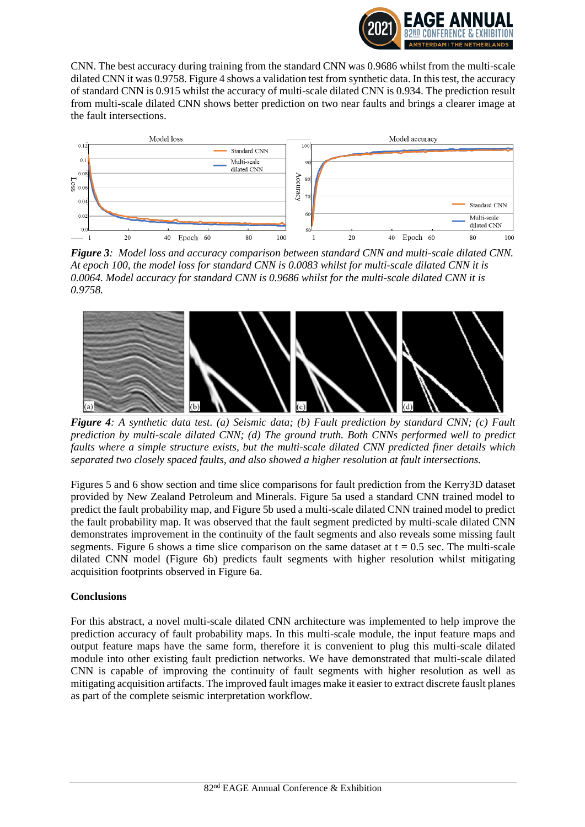

CNN. The best accuracy during training from the standard CNN was 0.9686 whilst from the multi-scale dilated CNN it was 0.9758. Figure 4 shows a validation test from synthetic data. In this test, the accuracy of standard CNN is 0.915 whilst the accuracy of multi-scale dilated CNN is 0.934. The prediction result from multi-scale dilated CNN shows better prediction on two near faults and brings a clearer image at the fault intersections.



*Figure 3: Model loss and accuracy comparison between standard CNN and multi-scale dilated CNN. At epoch 100, the model loss for standard CNN is 0.0083 whilst for multi-scale dilated CNN it is 0.0064. Model accuracy for standard CNN is 0.9686 whilst for the multi-scale dilated CNN it is 0.9758.* 



*Figure 4: A synthetic data test. (a) Seismic data; (b) Fault prediction by standard CNN; (c) Fault prediction by multi-scale dilated CNN; (d) The ground truth. Both CNNs performed well to predict faults where a simple structure exists, but the multi-scale dilated CNN predicted finer details which separated two closely spaced faults, and also showed a higher resolution at fault intersections.* 

Figures 5 and 6 show section and time slice comparisons for fault prediction from the Kerry3D dataset provided by New Zealand Petroleum and Minerals. Figure 5a used a standard CNN trained model to predict the fault probability map, and Figure 5b used a multi-scale dilated CNN trained model to predict the fault probability map. It was observed that the fault segment predicted by multi-scale dilated CNN demonstrates improvement in the continuity of the fault segments and also reveals some missing fault segments. Figure 6 shows a time slice comparison on the same dataset at  $t = 0.5$  sec. The multi-scale dilated CNN model (Figure 6b) predicts fault segments with higher resolution whilst mitigating acquisition footprints observed in Figure 6a.

# **Conclusions**

For this abstract, a novel multi-scale dilated CNN architecture was implemented to help improve the prediction accuracy of fault probability maps. In this multi-scale module, the input feature maps and output feature maps have the same form, therefore it is convenient to plug this multi-scale dilated module into other existing fault prediction networks. We have demonstrated that multi-scale dilated CNN is capable of improving the continuity of fault segments with higher resolution as well as mitigating acquisition artifacts. The improved fault images make it easier to extract discrete fauslt planes as part of the complete seismic interpretation workflow.